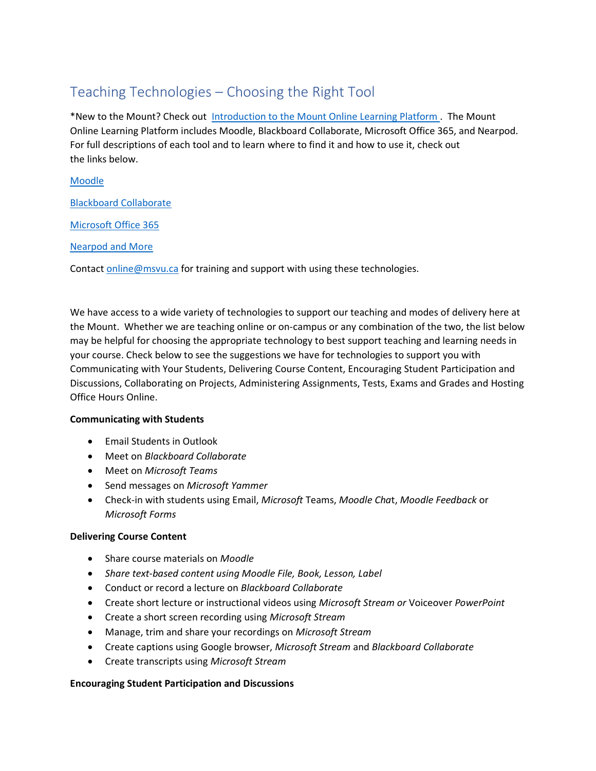# Teaching Technologies – Choosing the Right Tool

\*New to the Mount? Check out Introduction to the Mount Online Learning Platform. The Mount Online Learning Platform includes Moodle, Blackboard Collaborate, Microsoft Office 365, and Nearpod. For full descriptions of each tool and to learn where to find it and how to use it, check out the links below.

## [Moodle](https://msvuhfx.sharepoint.com/:w:/r/sites/Intranet/depts/TLCOL/Teaching%20Resource%20Repository/Teaching%20Technologies%20-%20Moodle.docx?d=w2e4f5d0a4007465eb9016bdda1c7e3eb&csf=1&web=1&e=fODbrm)

[Blackboard Collaborate](https://msvuhfx.sharepoint.com/:w:/r/sites/Intranet/depts/TLCOL/Teaching%20Resource%20Repository/Teaching%20Technologies%20-%20Blackboard%20Collaborate.docx?d=w5cf10fac282c48c89f31cee818215541&csf=1&web=1&e=D45qQq)

[Microsoft Office 365](https://msvuhfx.sharepoint.com/:w:/r/sites/Intranet/depts/TLCOL/Teaching%20Resource%20Repository/Teaching%20Technologies%20-%20Microsoft%20Office%20365.docx?d=w755b100e27f74805957465a98145c3c4&csf=1&web=1&e=Kga2Gy)

[Nearpod and More](https://msvuhfx.sharepoint.com/:w:/r/sites/Intranet/depts/TLCOL/Teaching%20Resource%20Repository/Teaching%20Technologies%20-%20Nearpod%20and%20More!.docx?d=w1f8bc27a42d8422aaab9a5fe94cbae44&csf=1&web=1&e=YBgOQ0)

Contact [online@msvu.ca](mailto:online@msvu.ca) for training and support with using these technologies.

We have access to a wide variety of technologies to support our teaching and modes of delivery here at the Mount. Whether we are teaching online or on-campus or any combination of the two, the list below may be helpful for choosing the appropriate technology to best support teaching and learning needs in your course. Check below to see the suggestions we have for technologies to support you with Communicating with Your Students, Delivering Course Content, Encouraging Student Participation and Discussions, Collaborating on Projects, Administering Assignments, Tests, Exams and Grades and Hosting Office Hours Online.

#### **Communicating with Students**

- Email Students in Outlook
- Meet on *Blackboard Collaborate*
- Meet on *Microsoft Teams*
- Send messages on *Microsoft Yammer*
- Check-in with students using Email, *Microsoft* Teams, *Moodle Cha*t, *Moodle Feedback* or *Microsoft Forms*

#### **Delivering Course Content**

- Share course materials on *Moodle*
- *Share text-based content using Moodle File, Book, Lesson, Label*
- Conduct or record a lecture on *Blackboard Collaborate*
- Create short lecture or instructional videos using *Microsoft Stream or* Voiceover *PowerPoint*
- Create a short screen recording using *Microsoft Stream*
- Manage, trim and share your recordings on *Microsoft Stream*
- Create captions using Google browser, *Microsoft Stream* and *Blackboard Collaborate*
- Create transcripts using *Microsoft Stream*

#### **Encouraging Student Participation and Discussions**